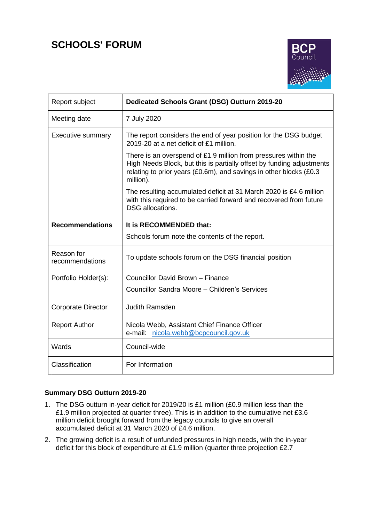# **SCHOOLS' FORUM**



| Report subject                | Dedicated Schools Grant (DSG) Outturn 2019-20                                                                                                                                                                               |  |  |  |  |  |
|-------------------------------|-----------------------------------------------------------------------------------------------------------------------------------------------------------------------------------------------------------------------------|--|--|--|--|--|
| Meeting date                  | 7 July 2020                                                                                                                                                                                                                 |  |  |  |  |  |
| <b>Executive summary</b>      | The report considers the end of year position for the DSG budget<br>2019-20 at a net deficit of £1 million.                                                                                                                 |  |  |  |  |  |
|                               | There is an overspend of £1.9 million from pressures within the<br>High Needs Block, but this is partially offset by funding adjustments<br>relating to prior years (£0.6m), and savings in other blocks (£0.3<br>million). |  |  |  |  |  |
|                               | The resulting accumulated deficit at 31 March 2020 is £4.6 million<br>with this required to be carried forward and recovered from future<br><b>DSG</b> allocations.                                                         |  |  |  |  |  |
| <b>Recommendations</b>        | It is RECOMMENDED that:                                                                                                                                                                                                     |  |  |  |  |  |
|                               | Schools forum note the contents of the report.                                                                                                                                                                              |  |  |  |  |  |
| Reason for<br>recommendations | To update schools forum on the DSG financial position                                                                                                                                                                       |  |  |  |  |  |
| Portfolio Holder(s):          | Councillor David Brown - Finance                                                                                                                                                                                            |  |  |  |  |  |
|                               | Councillor Sandra Moore - Children's Services                                                                                                                                                                               |  |  |  |  |  |
| Corporate Director            | <b>Judith Ramsden</b>                                                                                                                                                                                                       |  |  |  |  |  |
| <b>Report Author</b>          | Nicola Webb, Assistant Chief Finance Officer<br>e-mail: nicola.webb@bcpcouncil.gov.uk                                                                                                                                       |  |  |  |  |  |
| Wards                         | Council-wide                                                                                                                                                                                                                |  |  |  |  |  |
| Classification                | For Information                                                                                                                                                                                                             |  |  |  |  |  |

# **Summary DSG Outturn 2019-20**

- 1. The DSG outturn in-year deficit for 2019/20 is £1 million (£0.9 million less than the £1.9 million projected at quarter three). This is in addition to the cumulative net £3.6 million deficit brought forward from the legacy councils to give an overall accumulated deficit at 31 March 2020 of £4.6 million.
- 2. The growing deficit is a result of unfunded pressures in high needs, with the in-year deficit for this block of expenditure at £1.9 million (quarter three projection £2.7)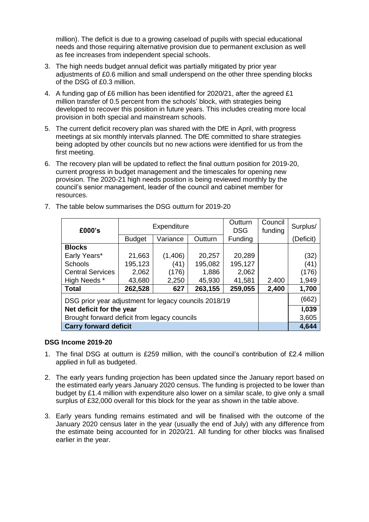million). The deficit is due to a growing caseload of pupils with special educational needs and those requiring alternative provision due to permanent exclusion as well as fee increases from independent special schools.

- 3. The high needs budget annual deficit was partially mitigated by prior year adjustments of £0.6 million and small underspend on the other three spending blocks of the DSG of £0.3 million.
- 4. A funding gap of £6 million has been identified for 2020/21, after the agreed £1 million transfer of 0.5 percent from the schools' block, with strategies being developed to recover this position in future years. This includes creating more local provision in both special and mainstream schools.
- 5. The current deficit recovery plan was shared with the DfE in April, with progress meetings at six monthly intervals planned. The DfE committed to share strategies being adopted by other councils but no new actions were identified for us from the first meeting.
- 6. The recovery plan will be updated to reflect the final outturn position for 2019-20, current progress in budget management and the timescales for opening new provision. The 2020-21 high needs position is being reviewed monthly by the council's senior management, leader of the council and cabinet member for resources.

| £000's                                                |               | Expenditure |         | Outturn<br><b>DSG</b> | Council<br>funding | Surplus/  |
|-------------------------------------------------------|---------------|-------------|---------|-----------------------|--------------------|-----------|
|                                                       | <b>Budget</b> | Variance    | Outturn | Funding               |                    | (Deficit) |
| <b>Blocks</b>                                         |               |             |         |                       |                    |           |
| Early Years*                                          | 21,663        | (1,406)     | 20,257  | 20,289                |                    | (32)      |
| <b>Schools</b>                                        | 195,123       | (41)        | 195,082 | 195,127               |                    | (41)      |
| <b>Central Services</b>                               | 2,062         | (176)       | 1,886   | 2,062                 |                    | (176)     |
| High Needs *                                          | 43,680        | 2,250       | 45,930  | 41,581                | 2.400              | 1,949     |
| <b>Total</b>                                          | 262,528       | 627         | 263,155 | 259,055               | 2,400              | 1,700     |
| DSG prior year adjustment for legacy councils 2018/19 |               | (662)       |         |                       |                    |           |
| Net deficit for the year                              |               | 1,039       |         |                       |                    |           |
| Brought forward deficit from legacy councils          |               | 3,605       |         |                       |                    |           |
| <b>Carry forward deficit</b>                          |               | 4,644       |         |                       |                    |           |

7. The table below summarises the DSG outturn for 2019-20

#### **DSG Income 2019-20**

- 1. The final DSG at outturn is £259 million, with the council's contribution of £2.4 million applied in full as budgeted.
- 2. The early years funding projection has been updated since the January report based on the estimated early years January 2020 census. The funding is projected to be lower than budget by £1.4 million with expenditure also lower on a similar scale, to give only a small surplus of £32,000 overall for this block for the year as shown in the table above.
- 3. Early years funding remains estimated and will be finalised with the outcome of the January 2020 census later in the year (usually the end of July) with any difference from the estimate being accounted for in 2020/21. All funding for other blocks was finalised earlier in the year.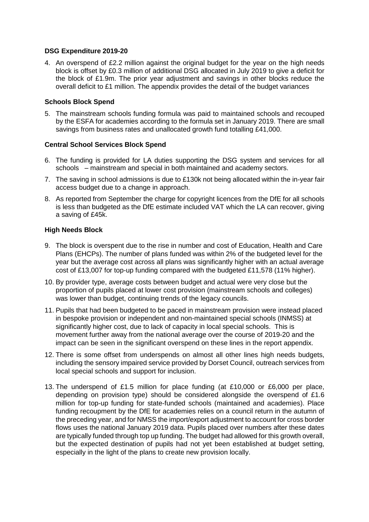#### **DSG Expenditure 2019-20**

4. An overspend of £2.2 million against the original budget for the year on the high needs block is offset by £0.3 million of additional DSG allocated in July 2019 to give a deficit for the block of £1.9m. The prior year adjustment and savings in other blocks reduce the overall deficit to £1 million. The appendix provides the detail of the budget variances

#### **Schools Block Spend**

5. The mainstream schools funding formula was paid to maintained schools and recouped by the ESFA for academies according to the formula set in January 2019. There are small savings from business rates and unallocated growth fund totalling £41,000.

#### **Central School Services Block Spend**

- 6. The funding is provided for LA duties supporting the DSG system and services for all schools – mainstream and special in both maintained and academy sectors.
- 7. The saving in school admissions is due to £130k not being allocated within the in-year fair access budget due to a change in approach.
- 8. As reported from September the charge for copyright licences from the DfE for all schools is less than budgeted as the DfE estimate included VAT which the LA can recover, giving a saving of £45k.

#### **High Needs Block**

- 9. The block is overspent due to the rise in number and cost of Education, Health and Care Plans (EHCPs). The number of plans funded was within 2% of the budgeted level for the year but the average cost across all plans was significantly higher with an actual average cost of £13,007 for top-up funding compared with the budgeted £11,578 (11% higher).
- 10. By provider type, average costs between budget and actual were very close but the proportion of pupils placed at lower cost provision (mainstream schools and colleges) was lower than budget, continuing trends of the legacy councils.
- 11. Pupils that had been budgeted to be paced in mainstream provision were instead placed in bespoke provision or independent and non-maintained special schools (INMSS) at significantly higher cost, due to lack of capacity in local special schools. This is movement further away from the national average over the course of 2019-20 and the impact can be seen in the significant overspend on these lines in the report appendix.
- 12. There is some offset from underspends on almost all other lines high needs budgets, including the sensory impaired service provided by Dorset Council, outreach services from local special schools and support for inclusion.
- 13. The underspend of £1.5 million for place funding (at £10,000 or £6,000 per place, depending on provision type) should be considered alongside the overspend of £1.6 million for top-up funding for state-funded schools (maintained and academies). Place funding recoupment by the DfE for academies relies on a council return in the autumn of the preceding year, and for NMSS the import/export adjustment to account for cross border flows uses the national January 2019 data. Pupils placed over numbers after these dates are typically funded through top up funding. The budget had allowed for this growth overall, but the expected destination of pupils had not yet been established at budget setting, especially in the light of the plans to create new provision locally.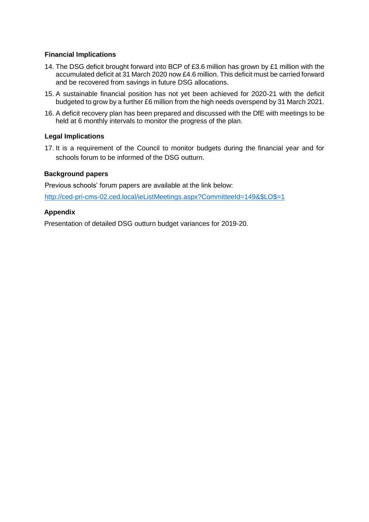#### **Financial Implications**

- 14. The DSG deficit brought forward into BCP of £3.6 million has grown by £1 million with the accumulated deficit at 31 March 2020 now £4.6 million. This deficit must be carried forward and be recovered from savings in future DSG allocations.
- 15. A sustainable financial position has not yet been achieved for 2020-21 with the deficit budgeted to grow by a further £6 million from the high needs overspend by 31 March 2021.
- 16. A deficit recovery plan has been prepared and discussed with the DfE with meetings to be held at 6 monthly intervals to monitor the progress of the plan.

## **Legal Implications**

17. It is a requirement of the Council to monitor budgets during the financial year and for schools forum to be informed of the DSG outturn.

#### **Background papers**

Previous schools' forum papers are available at the link below:

[http://ced-pri-cms-02.ced.local/ieListMeetings.aspx?CommitteeId=149&\\$LO\\$=1](http://ced-pri-cms-02.ced.local/ieListMeetings.aspx?CommitteeId=149&$LO$=1)

## **Appendix**

Presentation of detailed DSG outturn budget variances for 2019-20.